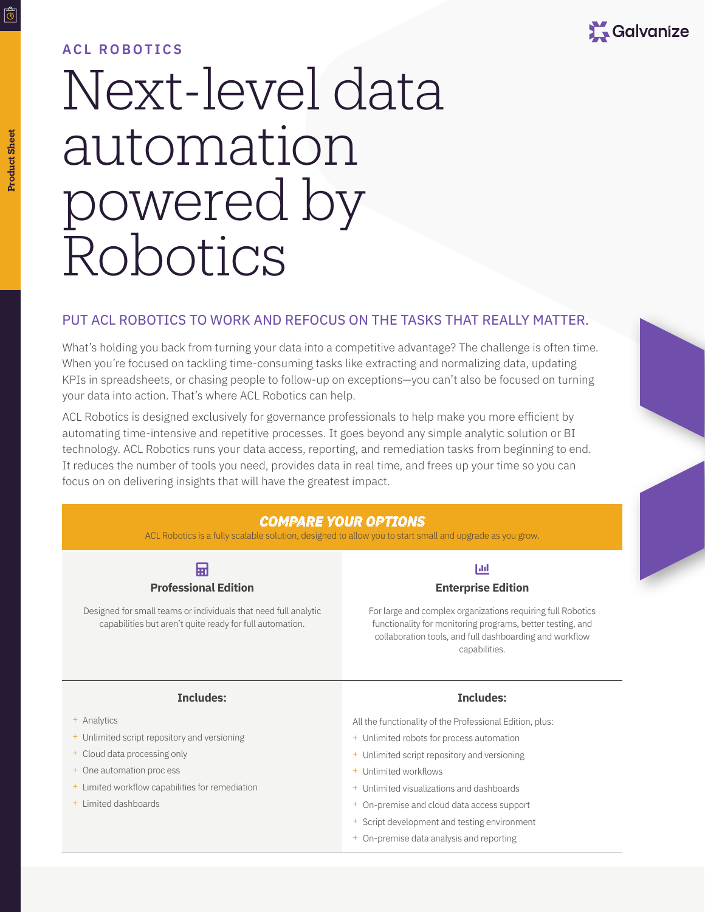

## **ACL ROBOTICS**

# Next-level data automation powered by Robotics

#### PUT ACL ROBOTICS TO WORK AND REFOCUS ON THE TASKS THAT REALLY MATTER.

What's holding you back from turning your data into a competitive advantage? The challenge is often time. When you're focused on tackling time-consuming tasks like extracting and normalizing data, updating KPIs in spreadsheets, or chasing people to follow-up on exceptions—you can't also be focused on turning your data into action. That's where ACL Robotics can help.

ACL Robotics is designed exclusively for governance professionals to help make you more efficient by automating time-intensive and repetitive processes. It goes beyond any simple analytic solution or BI technology. ACL Robotics runs your data access, reporting, and remediation tasks from beginning to end. It reduces the number of tools you need, provides data in real time, and frees up your time so you can focus on on delivering insights that will have the greatest impact.

## *COMPARE YOUR OPTIONS*

ACL Robotics is a fully scalable solution, designed to allow you to start small and upgrade as you grow.



Designed for small teams or individuals that need full analytic capabilities but aren't quite ready for full automation.

## $|$ dd **Enterprise Edition**

For large and complex organizations requiring full Robotics functionality for monitoring programs, better testing, and collaboration tools, and full dashboarding and workflow capabilities.

#### **Includes:**

- + Analytics
- + Unlimited script repository and versioning
- + Cloud data processing only
- + One automation proc ess
- + Limited workflow capabilities for remediation
- + Limited dashboards

#### **Includes:**

All the functionality of the Professional Edition, plus:

- + Unlimited robots for process automation
- + Unlimited script repository and versioning
- + Unlimited workflows
- Unlimited visualizations and dashboards
- + On-premise and cloud data access support
- + Script development and testing environment
- + On-premise data analysis and reporting

लिं